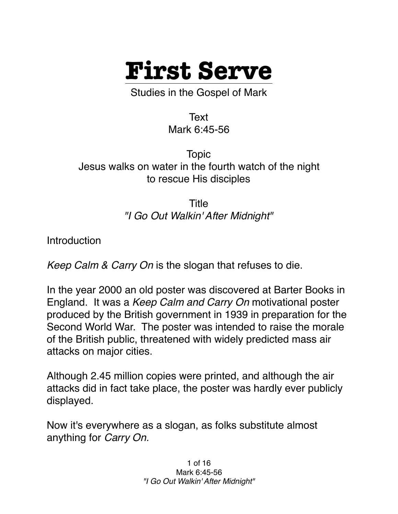

Studies in the Gospel of Mark

Text Mark 6:45-56

Topic Jesus walks on water in the fourth watch of the night to rescue His disciples

> Title *"I Go Out Walkin' After Midnight"*

**Introduction** 

*Keep Calm & Carry On* is the slogan that refuses to die.

In the year 2000 an old poster was discovered at Barter Books in England. It was a *Keep Calm and Carry On* motivational poster produced by the British government in 1939 in preparation for the Second World War. The poster was intended to raise the morale of the British public, threatened with widely predicted mass air attacks on major cities.

Although 2.45 million copies were printed, and although the air attacks did in fact take place, the poster was hardly ever publicly displayed.

Now it's everywhere as a slogan, as folks substitute almost anything for *Carry On.*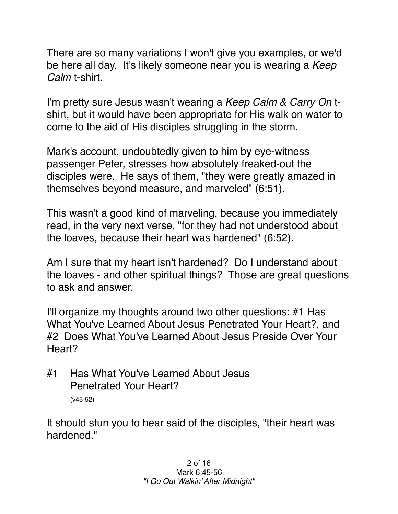There are so many variations I won't give you examples, or we'd be here all day. It's likely someone near you is wearing a *Keep Calm* t-shirt.

I'm pretty sure Jesus wasn't wearing a *Keep Calm & Carry On* tshirt, but it would have been appropriate for His walk on water to come to the aid of His disciples struggling in the storm.

Mark's account, undoubtedly given to him by eye-witness passenger Peter, stresses how absolutely freaked-out the disciples were. He says of them, "they were greatly amazed in themselves beyond measure, and marveled" (6:51).

This wasn't a good kind of marveling, because you immediately read, in the very next verse, "for they had not understood about the loaves, because their heart was hardened" (6:52).

Am I sure that my heart isn't hardened? Do I understand about the loaves - and other spiritual things? Those are great questions to ask and answer.

I'll organize my thoughts around two other questions: #1 Has What You've Learned About Jesus Penetrated Your Heart?, and #2 Does What You've Learned About Jesus Preside Over Your Heart?

#1 Has What You've Learned About Jesus Penetrated Your Heart? (v45-52)

It should stun you to hear said of the disciples, "their heart was hardened<sup>"</sup>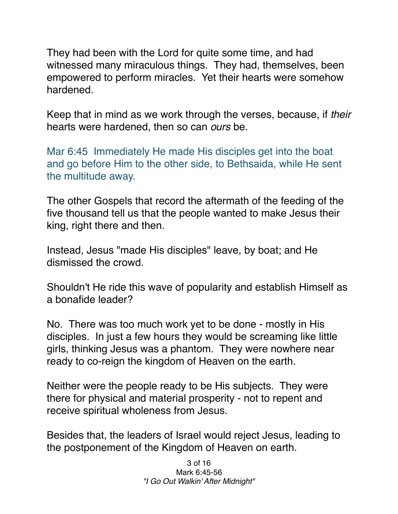They had been with the Lord for quite some time, and had witnessed many miraculous things. They had, themselves, been empowered to perform miracles. Yet their hearts were somehow hardened.

Keep that in mind as we work through the verses, because, if *their* hearts were hardened, then so can *ours* be.

Mar 6:45 Immediately He made His disciples get into the boat and go before Him to the other side, to Bethsaida, while He sent the multitude away.

The other Gospels that record the aftermath of the feeding of the five thousand tell us that the people wanted to make Jesus their king, right there and then.

Instead, Jesus "made His disciples" leave, by boat; and He dismissed the crowd.

Shouldn't He ride this wave of popularity and establish Himself as a bonafide leader?

No. There was too much work yet to be done - mostly in His disciples. In just a few hours they would be screaming like little girls, thinking Jesus was a phantom. They were nowhere near ready to co-reign the kingdom of Heaven on the earth.

Neither were the people ready to be His subjects. They were there for physical and material prosperity - not to repent and receive spiritual wholeness from Jesus.

Besides that, the leaders of Israel would reject Jesus, leading to the postponement of the Kingdom of Heaven on earth.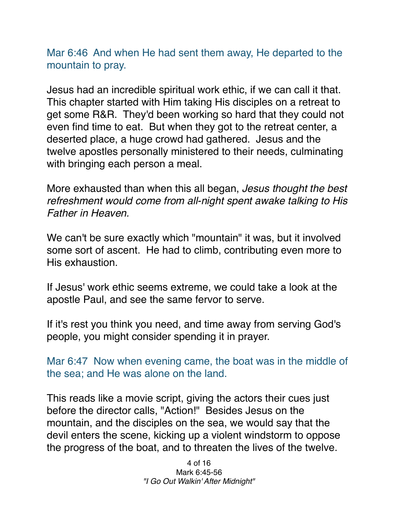Mar 6:46 And when He had sent them away, He departed to the mountain to pray.

Jesus had an incredible spiritual work ethic, if we can call it that. This chapter started with Him taking His disciples on a retreat to get some R&R. They'd been working so hard that they could not even find time to eat. But when they got to the retreat center, a deserted place, a huge crowd had gathered. Jesus and the twelve apostles personally ministered to their needs, culminating with bringing each person a meal.

More exhausted than when this all began, *Jesus thought the best refreshment would come from all-night spent awake talking to His Father in Heaven.*

We can't be sure exactly which "mountain" it was, but it involved some sort of ascent. He had to climb, contributing even more to His exhaustion.

If Jesus' work ethic seems extreme, we could take a look at the apostle Paul, and see the same fervor to serve.

If it's rest you think you need, and time away from serving God's people, you might consider spending it in prayer.

Mar 6:47 Now when evening came, the boat was in the middle of the sea; and He was alone on the land.

This reads like a movie script, giving the actors their cues just before the director calls, "Action!" Besides Jesus on the mountain, and the disciples on the sea, we would say that the devil enters the scene, kicking up a violent windstorm to oppose the progress of the boat, and to threaten the lives of the twelve.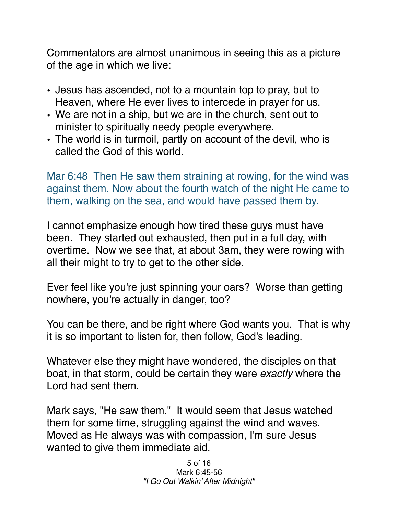Commentators are almost unanimous in seeing this as a picture of the age in which we live:

- Jesus has ascended, not to a mountain top to pray, but to Heaven, where He ever lives to intercede in prayer for us.
- We are not in a ship, but we are in the church, sent out to minister to spiritually needy people everywhere.
- The world is in turmoil, partly on account of the devil, who is called the God of this world.

Mar 6:48 Then He saw them straining at rowing, for the wind was against them. Now about the fourth watch of the night He came to them, walking on the sea, and would have passed them by.

I cannot emphasize enough how tired these guys must have been. They started out exhausted, then put in a full day, with overtime. Now we see that, at about 3am, they were rowing with all their might to try to get to the other side.

Ever feel like you're just spinning your oars? Worse than getting nowhere, you're actually in danger, too?

You can be there, and be right where God wants you. That is why it is so important to listen for, then follow, God's leading.

Whatever else they might have wondered, the disciples on that boat, in that storm, could be certain they were *exactly* where the Lord had sent them.

Mark says, "He saw them." It would seem that Jesus watched them for some time, struggling against the wind and waves. Moved as He always was with compassion, I'm sure Jesus wanted to give them immediate aid.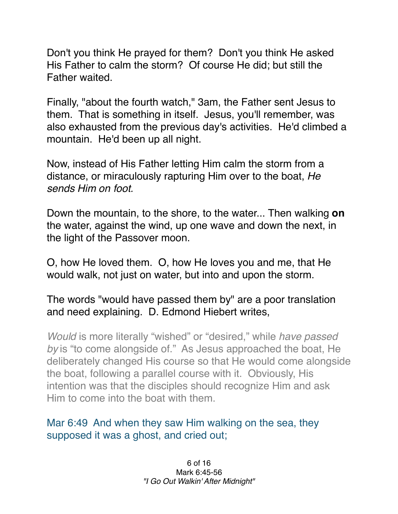Don't you think He prayed for them? Don't you think He asked His Father to calm the storm? Of course He did; but still the Father waited.

Finally, "about the fourth watch," 3am, the Father sent Jesus to them. That is something in itself. Jesus, you'll remember, was also exhausted from the previous day's activities. He'd climbed a mountain. He'd been up all night.

Now, instead of His Father letting Him calm the storm from a distance, or miraculously rapturing Him over to the boat, *He sends Him on foot.*

Down the mountain, to the shore, to the water... Then walking **on** the water, against the wind, up one wave and down the next, in the light of the Passover moon.

O, how He loved them. O, how He loves you and me, that He would walk, not just on water, but into and upon the storm.

The words "would have passed them by" are a poor translation and need explaining. D. Edmond Hiebert writes,

*Would* is more literally "wished" or "desired," while *have passed by* is "to come alongside of." As Jesus approached the boat, He deliberately changed His course so that He would come alongside the boat, following a parallel course with it. Obviously, His intention was that the disciples should recognize Him and ask Him to come into the boat with them.

Mar 6:49 And when they saw Him walking on the sea, they supposed it was a ghost, and cried out;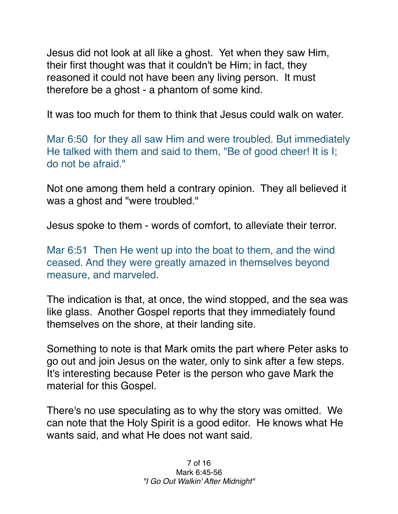Jesus did not look at all like a ghost. Yet when they saw Him, their first thought was that it couldn't be Him; in fact, they reasoned it could not have been any living person. It must therefore be a ghost - a phantom of some kind.

It was too much for them to think that Jesus could walk on water.

Mar 6:50 for they all saw Him and were troubled. But immediately He talked with them and said to them, "Be of good cheer! It is I; do not be afraid."

Not one among them held a contrary opinion. They all believed it was a ghost and "were troubled."

Jesus spoke to them - words of comfort, to alleviate their terror.

Mar 6:51 Then He went up into the boat to them, and the wind ceased. And they were greatly amazed in themselves beyond measure, and marveled.

The indication is that, at once, the wind stopped, and the sea was like glass. Another Gospel reports that they immediately found themselves on the shore, at their landing site.

Something to note is that Mark omits the part where Peter asks to go out and join Jesus on the water, only to sink after a few steps. It's interesting because Peter is the person who gave Mark the material for this Gospel.

There's no use speculating as to why the story was omitted. We can note that the Holy Spirit is a good editor. He knows what He wants said, and what He does not want said.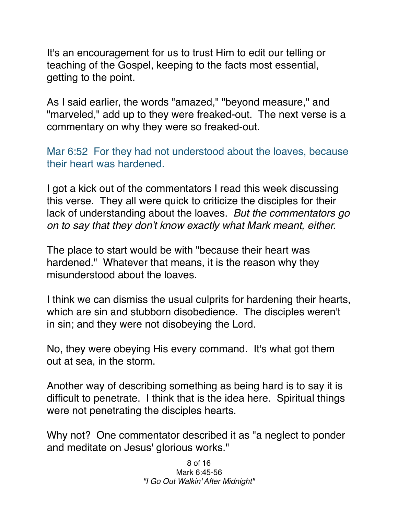It's an encouragement for us to trust Him to edit our telling or teaching of the Gospel, keeping to the facts most essential, getting to the point.

As I said earlier, the words "amazed," "beyond measure," and "marveled," add up to they were freaked-out. The next verse is a commentary on why they were so freaked-out.

Mar 6:52 For they had not understood about the loaves, because their heart was hardened.

I got a kick out of the commentators I read this week discussing this verse. They all were quick to criticize the disciples for their lack of understanding about the loaves. *But the commentators go on to say that they don't know exactly what Mark meant, either.*

The place to start would be with "because their heart was hardened." Whatever that means, it is the reason why they misunderstood about the loaves.

I think we can dismiss the usual culprits for hardening their hearts, which are sin and stubborn disobedience. The disciples weren't in sin; and they were not disobeying the Lord.

No, they were obeying His every command. It's what got them out at sea, in the storm.

Another way of describing something as being hard is to say it is difficult to penetrate. I think that is the idea here. Spiritual things were not penetrating the disciples hearts.

Why not? One commentator described it as "a neglect to ponder and meditate on Jesus' glorious works."

> 8 of 16 Mark 6:45-56 *"I Go Out Walkin' After Midnight"*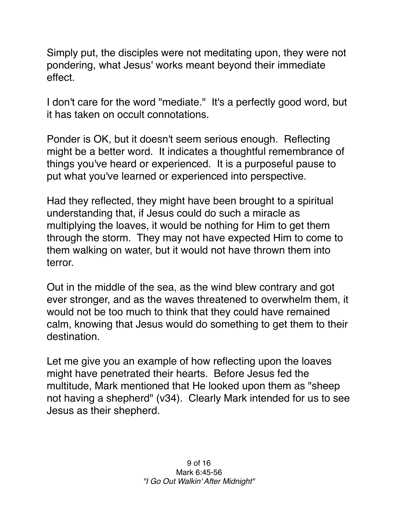Simply put, the disciples were not meditating upon, they were not pondering, what Jesus' works meant beyond their immediate effect.

I don't care for the word "mediate." It's a perfectly good word, but it has taken on occult connotations.

Ponder is OK, but it doesn't seem serious enough. Reflecting might be a better word. It indicates a thoughtful remembrance of things you've heard or experienced. It is a purposeful pause to put what you've learned or experienced into perspective.

Had they reflected, they might have been brought to a spiritual understanding that, if Jesus could do such a miracle as multiplying the loaves, it would be nothing for Him to get them through the storm. They may not have expected Him to come to them walking on water, but it would not have thrown them into terror.

Out in the middle of the sea, as the wind blew contrary and got ever stronger, and as the waves threatened to overwhelm them, it would not be too much to think that they could have remained calm, knowing that Jesus would do something to get them to their destination.

Let me give you an example of how reflecting upon the loaves might have penetrated their hearts. Before Jesus fed the multitude, Mark mentioned that He looked upon them as "sheep not having a shepherd" (v34). Clearly Mark intended for us to see Jesus as their shepherd.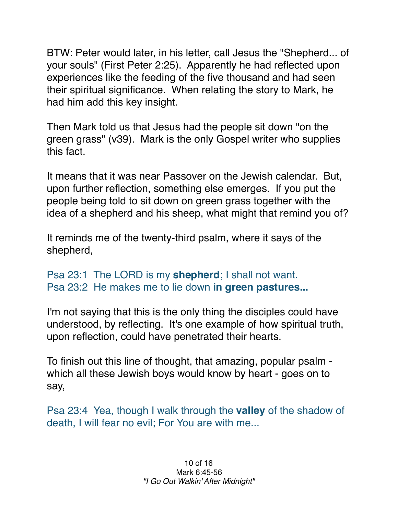BTW: Peter would later, in his letter, call Jesus the "Shepherd... of your souls" (First Peter 2:25). Apparently he had reflected upon experiences like the feeding of the five thousand and had seen their spiritual significance. When relating the story to Mark, he had him add this key insight.

Then Mark told us that Jesus had the people sit down "on the green grass" (v39). Mark is the only Gospel writer who supplies this fact.

It means that it was near Passover on the Jewish calendar. But, upon further reflection, something else emerges. If you put the people being told to sit down on green grass together with the idea of a shepherd and his sheep, what might that remind you of?

It reminds me of the twenty-third psalm, where it says of the shepherd,

## Psa 23:1 The LORD is my **shepherd**; I shall not want. Psa 23:2 He makes me to lie down **in green pastures...**

I'm not saying that this is the only thing the disciples could have understood, by reflecting. It's one example of how spiritual truth, upon reflection, could have penetrated their hearts.

To finish out this line of thought, that amazing, popular psalm which all these Jewish boys would know by heart - goes on to say,

Psa 23:4 Yea, though I walk through the **valley** of the shadow of death, I will fear no evil; For You are with me...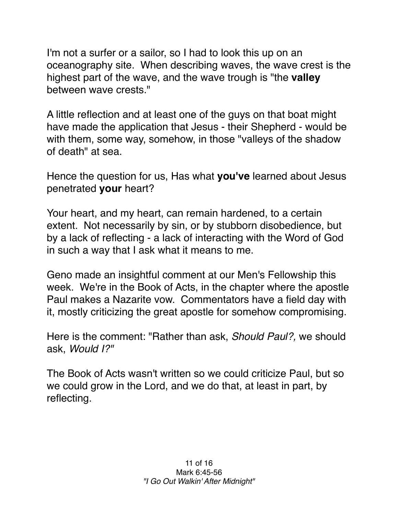I'm not a surfer or a sailor, so I had to look this up on an oceanography site. When describing waves, the wave crest is the highest part of the wave, and the wave trough is "the **valley** between wave crests."

A little reflection and at least one of the guys on that boat might have made the application that Jesus - their Shepherd - would be with them, some way, somehow, in those "valleys of the shadow of death" at sea.

Hence the question for us, Has what **you've** learned about Jesus penetrated **your** heart?

Your heart, and my heart, can remain hardened, to a certain extent. Not necessarily by sin, or by stubborn disobedience, but by a lack of reflecting - a lack of interacting with the Word of God in such a way that I ask what it means to me.

Geno made an insightful comment at our Men's Fellowship this week. We're in the Book of Acts, in the chapter where the apostle Paul makes a Nazarite vow. Commentators have a field day with it, mostly criticizing the great apostle for somehow compromising.

Here is the comment: "Rather than ask, *Should Paul?,* we should ask, *Would I?"*

The Book of Acts wasn't written so we could criticize Paul, but so we could grow in the Lord, and we do that, at least in part, by reflecting.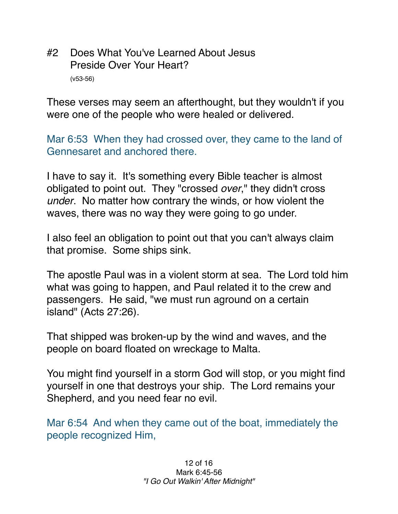#2 Does What You've Learned About Jesus Preside Over Your Heart? (v53-56)

These verses may seem an afterthought, but they wouldn't if you were one of the people who were healed or delivered.

Mar 6:53 When they had crossed over, they came to the land of Gennesaret and anchored there.

I have to say it. It's something every Bible teacher is almost obligated to point out. They "crossed *over*," they didn't cross *under*. No matter how contrary the winds, or how violent the waves, there was no way they were going to go under.

I also feel an obligation to point out that you can't always claim that promise. Some ships sink.

The apostle Paul was in a violent storm at sea. The Lord told him what was going to happen, and Paul related it to the crew and passengers. He said, "we must run aground on a certain island" (Acts 27:26).

That shipped was broken-up by the wind and waves, and the people on board floated on wreckage to Malta.

You might find yourself in a storm God will stop, or you might find yourself in one that destroys your ship. The Lord remains your Shepherd, and you need fear no evil.

Mar 6:54 And when they came out of the boat, immediately the people recognized Him,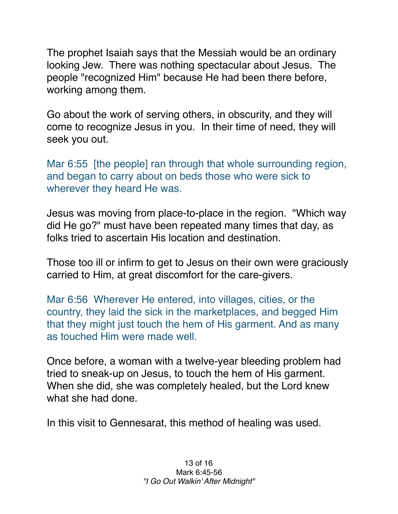The prophet Isaiah says that the Messiah would be an ordinary looking Jew. There was nothing spectacular about Jesus. The people "recognized Him" because He had been there before, working among them.

Go about the work of serving others, in obscurity, and they will come to recognize Jesus in you. In their time of need, they will seek you out.

Mar 6:55 [the people] ran through that whole surrounding region, and began to carry about on beds those who were sick to wherever they heard He was.

Jesus was moving from place-to-place in the region. "Which way did He go?" must have been repeated many times that day, as folks tried to ascertain His location and destination.

Those too ill or infirm to get to Jesus on their own were graciously carried to Him, at great discomfort for the care-givers.

Mar 6:56 Wherever He entered, into villages, cities, or the country, they laid the sick in the marketplaces, and begged Him that they might just touch the hem of His garment. And as many as touched Him were made well.

Once before, a woman with a twelve-year bleeding problem had tried to sneak-up on Jesus, to touch the hem of His garment. When she did, she was completely healed, but the Lord knew what she had done.

In this visit to Gennesarat, this method of healing was used.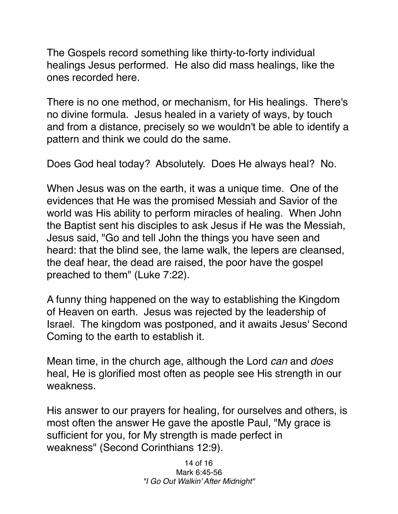The Gospels record something like thirty-to-forty individual healings Jesus performed. He also did mass healings, like the ones recorded here.

There is no one method, or mechanism, for His healings. There's no divine formula. Jesus healed in a variety of ways, by touch and from a distance, precisely so we wouldn't be able to identify a pattern and think we could do the same.

Does God heal today? Absolutely. Does He always heal? No.

When Jesus was on the earth, it was a unique time. One of the evidences that He was the promised Messiah and Savior of the world was His ability to perform miracles of healing. When John the Baptist sent his disciples to ask Jesus if He was the Messiah, Jesus said, "Go and tell John the things you have seen and heard: that the blind see, the lame walk, the lepers are cleansed, the deaf hear, the dead are raised, the poor have the gospel preached to them" (Luke 7:22).

A funny thing happened on the way to establishing the Kingdom of Heaven on earth. Jesus was rejected by the leadership of Israel. The kingdom was postponed, and it awaits Jesus' Second Coming to the earth to establish it.

Mean time, in the church age, although the Lord *can* and *does* heal, He is glorified most often as people see His strength in our weakness.

His answer to our prayers for healing, for ourselves and others, is most often the answer He gave the apostle Paul, "My grace is sufficient for you, for My strength is made perfect in weakness" (Second Corinthians 12:9).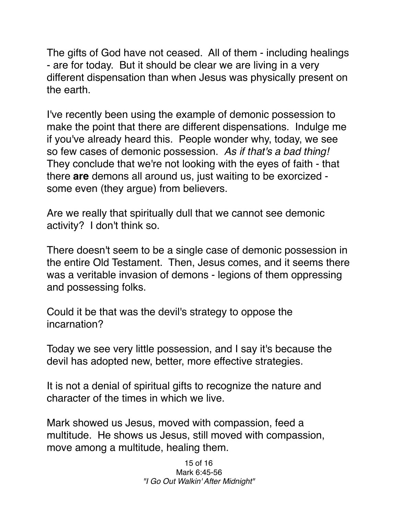The gifts of God have not ceased. All of them - including healings - are for today. But it should be clear we are living in a very different dispensation than when Jesus was physically present on the earth.

I've recently been using the example of demonic possession to make the point that there are different dispensations. Indulge me if you've already heard this. People wonder why, today, we see so few cases of demonic possession. *As if that's a bad thing!*  They conclude that we're not looking with the eyes of faith - that there **are** demons all around us, just waiting to be exorcized some even (they argue) from believers.

Are we really that spiritually dull that we cannot see demonic activity? I don't think so.

There doesn't seem to be a single case of demonic possession in the entire Old Testament. Then, Jesus comes, and it seems there was a veritable invasion of demons - legions of them oppressing and possessing folks.

Could it be that was the devil's strategy to oppose the incarnation?

Today we see very little possession, and I say it's because the devil has adopted new, better, more effective strategies.

It is not a denial of spiritual gifts to recognize the nature and character of the times in which we live.

Mark showed us Jesus, moved with compassion, feed a multitude. He shows us Jesus, still moved with compassion, move among a multitude, healing them.

> 15 of 16 Mark 6:45-56 *"I Go Out Walkin' After Midnight"*